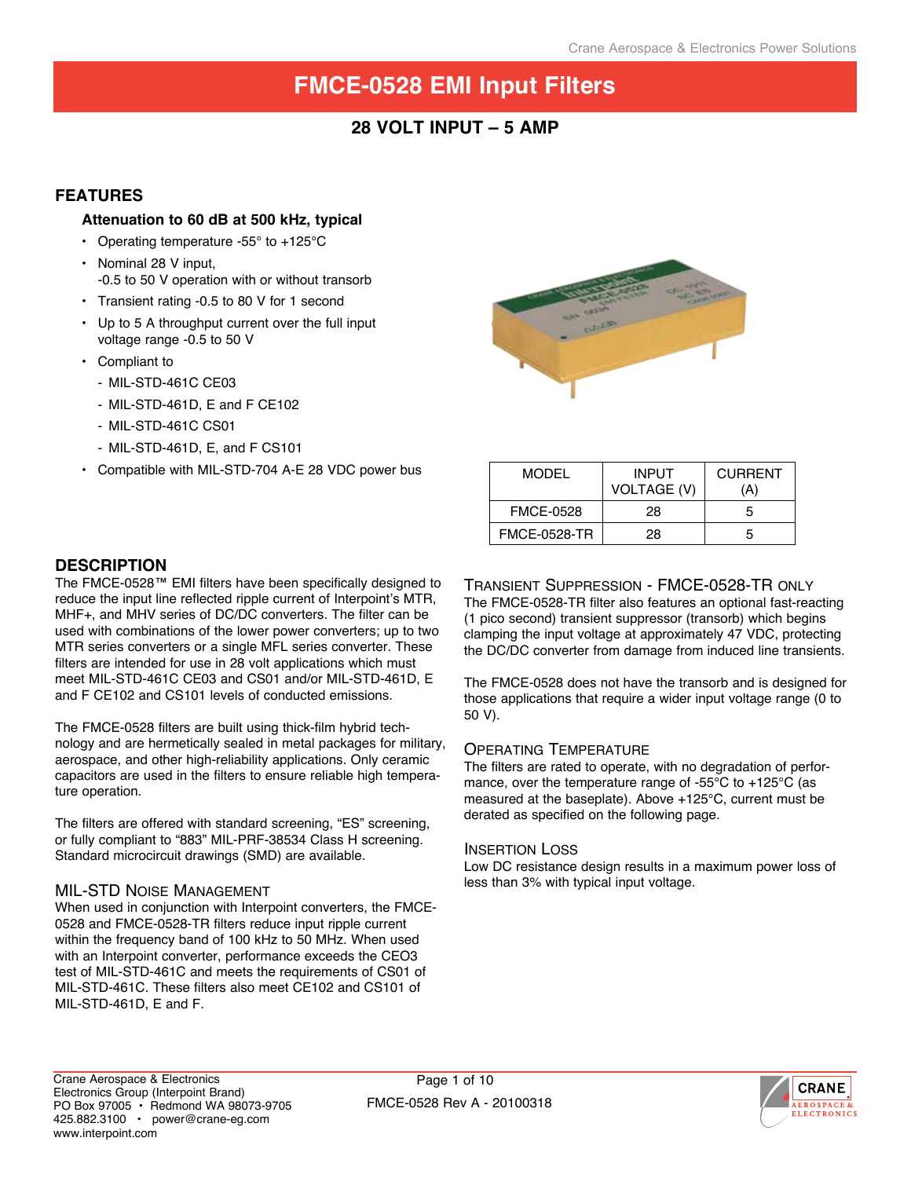## **28 Volt Input – 5 Amp**

### **Features**

### **Attenuation to 60 dB at 500 kHz, typical**

- Operating temperature -55 $\degree$  to +125 $\degree$ C
- • Nominal 28 V input, -0.5 to 50 V operation with or without transorb
- • Transient rating -0.5 to 80 V for 1 second
- Up to 5 A throughput current over the full input voltage range -0.5 to 50 V
- • Compliant to
	- MIL-STD-461C CE03
	- MIL-STD-461D, E and F CE102
	- MIL-STD-461C CS01
	- MIL-STD-461D, E, and F CS101
- Compatible with MIL-STD-704 A-E 28 VDC power bus



| MODEL               | INPUT<br><b>VOLTAGE (V)</b> | <b>CURRENT</b><br>(A) |
|---------------------|-----------------------------|-----------------------|
| <b>FMCE-0528</b>    | 28                          | 5                     |
| <b>FMCE-0528-TR</b> | 28                          | 5                     |

### **Description**

The FMCE-0528™ EMI filters have been specifically designed to reduce the input line reflected ripple current of Interpoint's MTR, MHF+, and MHV series of DC/DC converters. The filter can be used with combinations of the lower power converters; up to two MTR series converters or a single MFL series converter. These filters are intended for use in 28 volt applications which must meet MIL-STD-461C CE03 and CS01 and/or MIL-STD-461D, E and F CE102 and CS101 levels of conducted emissions.

The FMCE-0528 filters are built using thick-film hybrid technology and are hermetically sealed in metal packages for military, aerospace, and other high-reliability applications. Only ceramic capacitors are used in the filters to ensure reliable high temperature operation.

The filters are offered with standard screening, "ES" screening, or fully compliant to "883" MIL-PRF-38534 Class H screening. Standard microcircuit drawings (SMD) are available.

### MIL-STD Noise Management

When used in conjunction with Interpoint converters, the FMCE-0528 and FMCE-0528-TR filters reduce input ripple current within the frequency band of 100 kHz to 50 MHz. When used with an Interpoint converter, performance exceeds the CEO3 test of MIL-STD-461C and meets the requirements of CS01 of MIL-STD-461C. These filters also meet CE102 and CS101 of MIL-STD-461D, E and F.

### Transient Suppression - FMCE-0528-TR only

The FMCE-0528-TR filter also features an optional fast-reacting (1 pico second) transient suppressor (transorb) which begins clamping the input voltage at approximately 47 VDC, protecting the DC/DC converter from damage from induced line transients.

The FMCE-0528 does not have the transorb and is designed for those applications that require a wider input voltage range (0 to 50 V).

### Operating Temperature

The filters are rated to operate, with no degradation of performance, over the temperature range of -55°C to +125°C (as measured at the baseplate). Above +125°C, current must be derated as specified on the following page.

### Insertion Loss

Low DC resistance design results in a maximum power loss of less than 3% with typical input voltage.

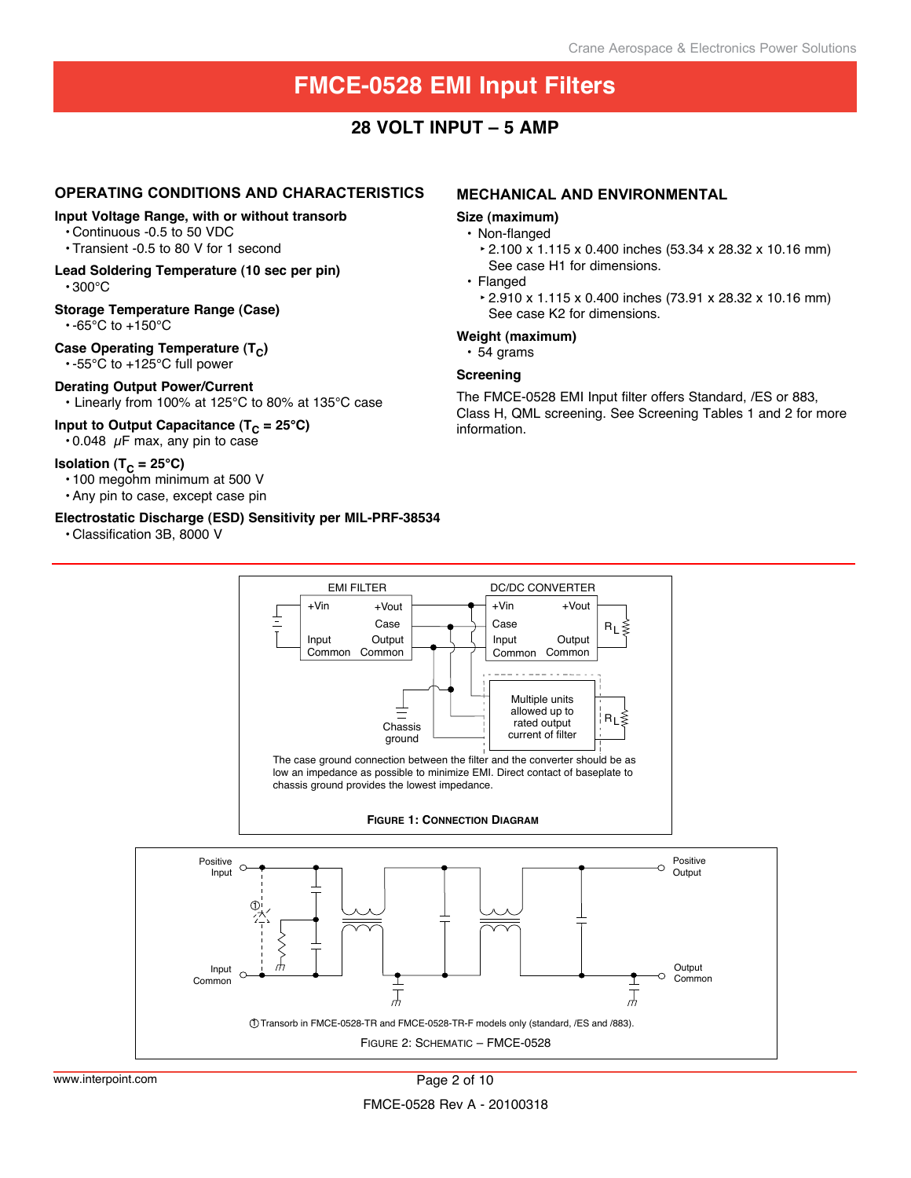### **28 Volt Input – 5 Amp**

### **Operating Conditions and characteristics**

#### **Input Voltage Range, with or without transorb**

• Continuous -0.5 to 50 VDC

- • Transient -0.5 to 80 V for 1 second
- **Lead Soldering Temperature (10 sec per pin)**  • 300°C

### **Storage Temperature Range (Case)**

 $\cdot$ -65°C to +150°C

**Case Operating Temperature (T<sub>C</sub>)**  $\cdot$ -55°C to +125°C full power

#### **Derating Output Power/Current**

• Linearly from 100% at 125°C to 80% at 135°C case

## **Input to Output Capacitance (** $T_c = 25^{\circ}C$ **)**

 $\cdot$  0.048  $\mu$ F max, any pin to case

### **Isolation (T<sub>C</sub> = 25°C)**

• 100 megohm minimum at 500 V

### • Any pin to case, except case pin

### **Electrostatic Discharge (ESD) Sensitivity per MIL-PRF-38534**

• Classification 3B, 8000 V

### **mechanical and environmental**

### **Size (maximum)**

#### • Non-flanged

- **‣**2.100 x 1.115 x 0.400 inches (53.34 x 28.32 x 10.16 mm) See case H1 for dimensions.
- • Flanged
	- **‣**2.910 x 1.115 x 0.400 inches (73.91 x 28.32 x 10.16 mm) See case K2 for dimensions.

### **Weight (maximum)**

• 54 grams

### **Screening**

The FMCE-0528 EMI Input filter offers Standard, /ES or 883, Class H, QML screening. See Screening Tables 1 and 2 for more information.

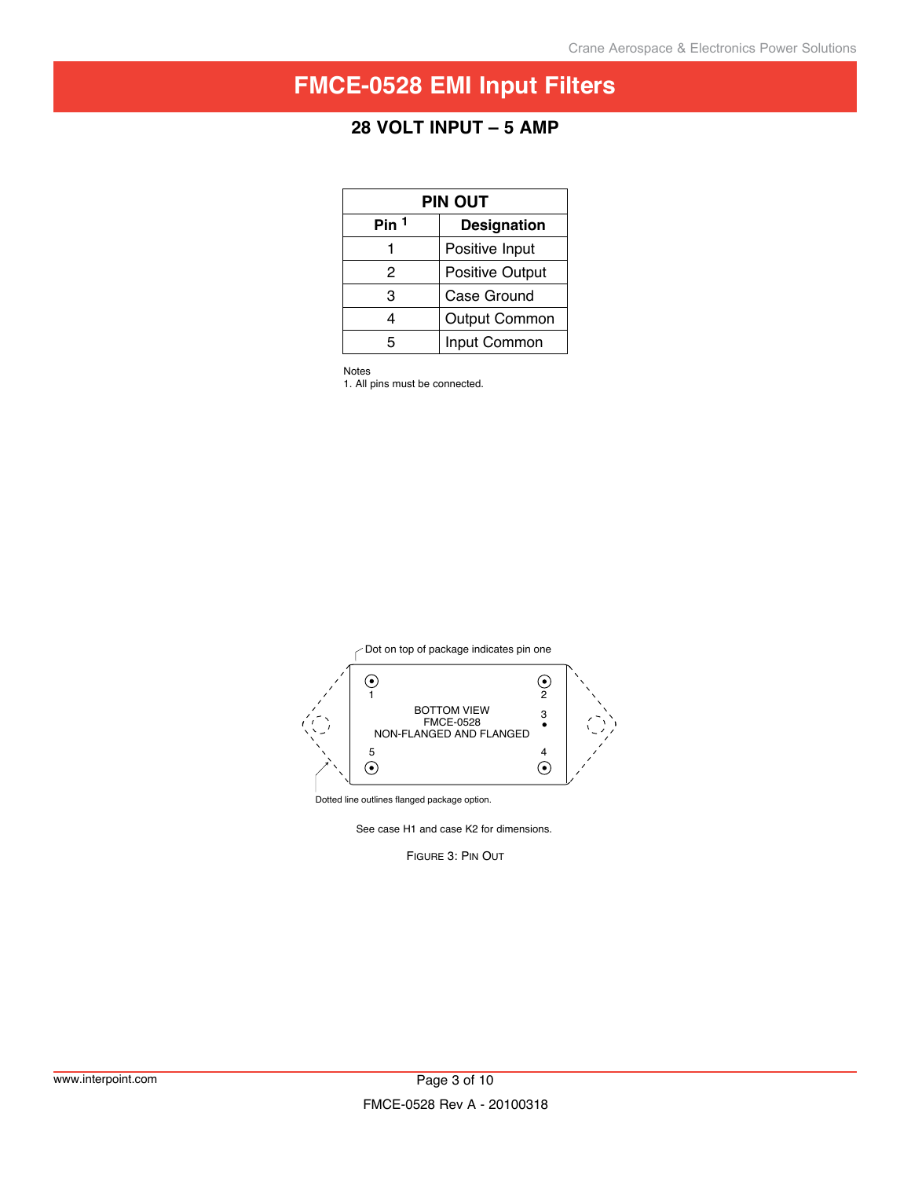## **28 Volt Input – 5 Amp**

| PIN OUT                                |                        |  |  |  |
|----------------------------------------|------------------------|--|--|--|
| Pin <sup>1</sup><br><b>Designation</b> |                        |  |  |  |
|                                        | Positive Input         |  |  |  |
| 2                                      | <b>Positive Output</b> |  |  |  |
| 3                                      | Case Ground            |  |  |  |
| 4                                      | <b>Output Common</b>   |  |  |  |
| 5                                      | Input Common           |  |  |  |

Notes

1. All pins must be connected.



Dotted line outlines flanged package option.

See case H1 and case K2 for dimensions.

Figure 3: Pin Out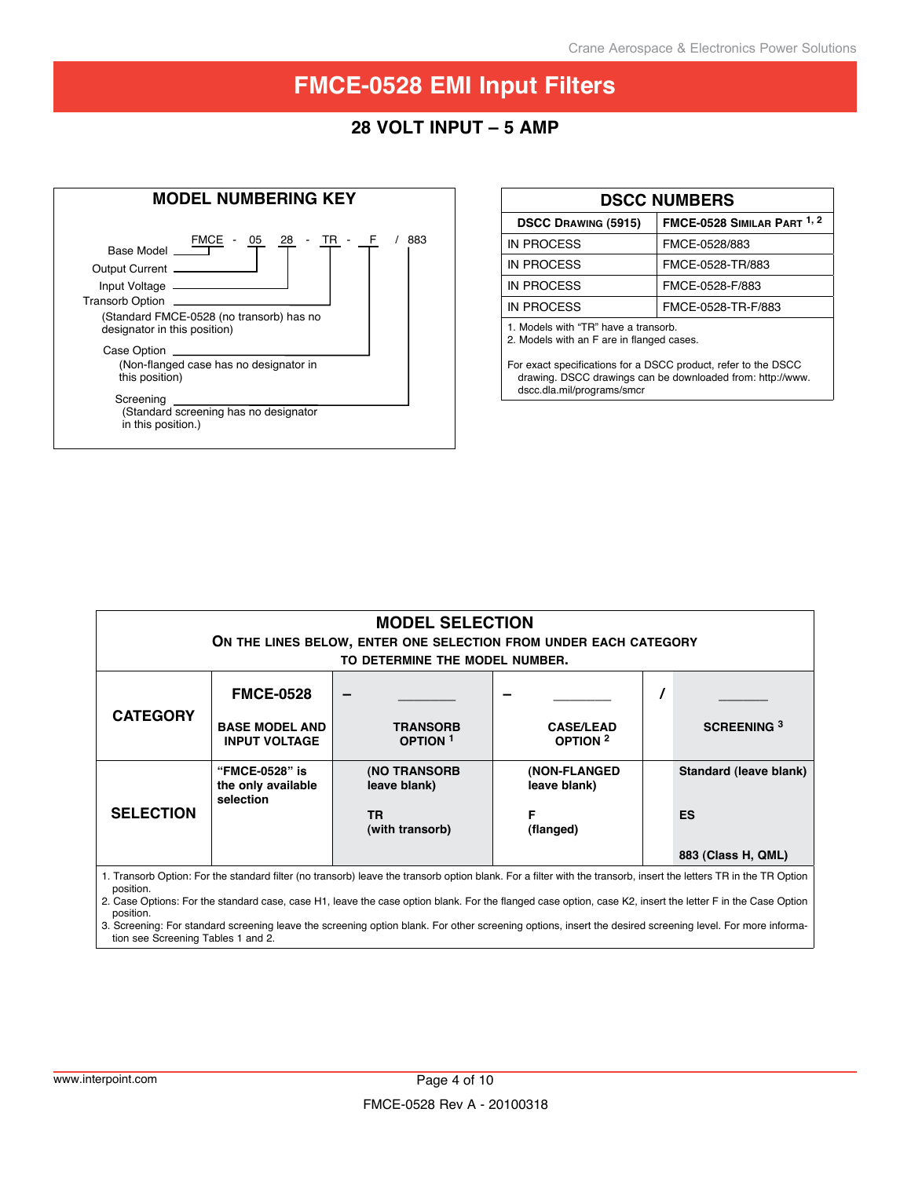### **28 Volt Input – 5 Amp**



#### **DSCC Numbers**

| <b>DSCC DRAWING (5915)</b> | FMCE-0528 SIMILAR PART $1, 2$ |  |  |
|----------------------------|-------------------------------|--|--|
| IN PROCESS                 | FMCE-0528/883                 |  |  |
| <b>IN PROCESS</b>          | FMCE-0528-TR/883              |  |  |
| <b>IN PROCESS</b>          | FMCE-0528-F/883               |  |  |
| <b>IN PROCESS</b>          | FMCE-0528-TR-F/883            |  |  |
|                            |                               |  |  |

1. Models with "TR" have a transorb.

2. Models with an F are in flanged cases.

For exact specifications for a DSCC product, refer to the DSCC drawing. DSCC drawings can be downloaded from: http://www. dscc.dla.mil/programs/smcr

| <b>MODEL SELECTION</b>                                                                                                                                            |                                                   |                                        |                                         |  |                        |  |
|-------------------------------------------------------------------------------------------------------------------------------------------------------------------|---------------------------------------------------|----------------------------------------|-----------------------------------------|--|------------------------|--|
| ON THE LINES BELOW, ENTER ONE SELECTION FROM UNDER EACH CATEGORY                                                                                                  |                                                   |                                        |                                         |  |                        |  |
|                                                                                                                                                                   |                                                   | TO DETERMINE THE MODEL NUMBER.         |                                         |  |                        |  |
|                                                                                                                                                                   | <b>FMCE-0528</b>                                  |                                        |                                         |  |                        |  |
| <b>CATEGORY</b>                                                                                                                                                   | <b>BASE MODEL AND</b><br><b>INPUT VOLTAGE</b>     | <b>TRANSORB</b><br>OPTION <sup>1</sup> | <b>CASE/LEAD</b><br>OPTION <sup>2</sup> |  | SCREENING <sup>3</sup> |  |
|                                                                                                                                                                   | "FMCE-0528" is<br>the only available<br>selection | (NO TRANSORB<br>leave blank)           | (NON-FLANGED<br>leave blank)            |  | Standard (leave blank) |  |
| <b>SELECTION</b>                                                                                                                                                  |                                                   | <b>TR</b><br>(with transorb)           | F<br>(flanged)                          |  | <b>ES</b>              |  |
|                                                                                                                                                                   |                                                   |                                        |                                         |  | 883 (Class H, QML)     |  |
| 1. Transorb Option: For the standard filter (no transorb) leave the transorb option blank. For a filter with the transorb, insert the letters TR in the TR Option |                                                   |                                        |                                         |  |                        |  |

position. 2. Case Options: For the standard case, case H1, leave the case option blank. For the flanged case option, case K2, insert the letter F in the Case Option position.

3. Screening: For standard screening leave the screening option blank. For other screening options, insert the desired screening level. For more information see Screening Tables 1 and 2.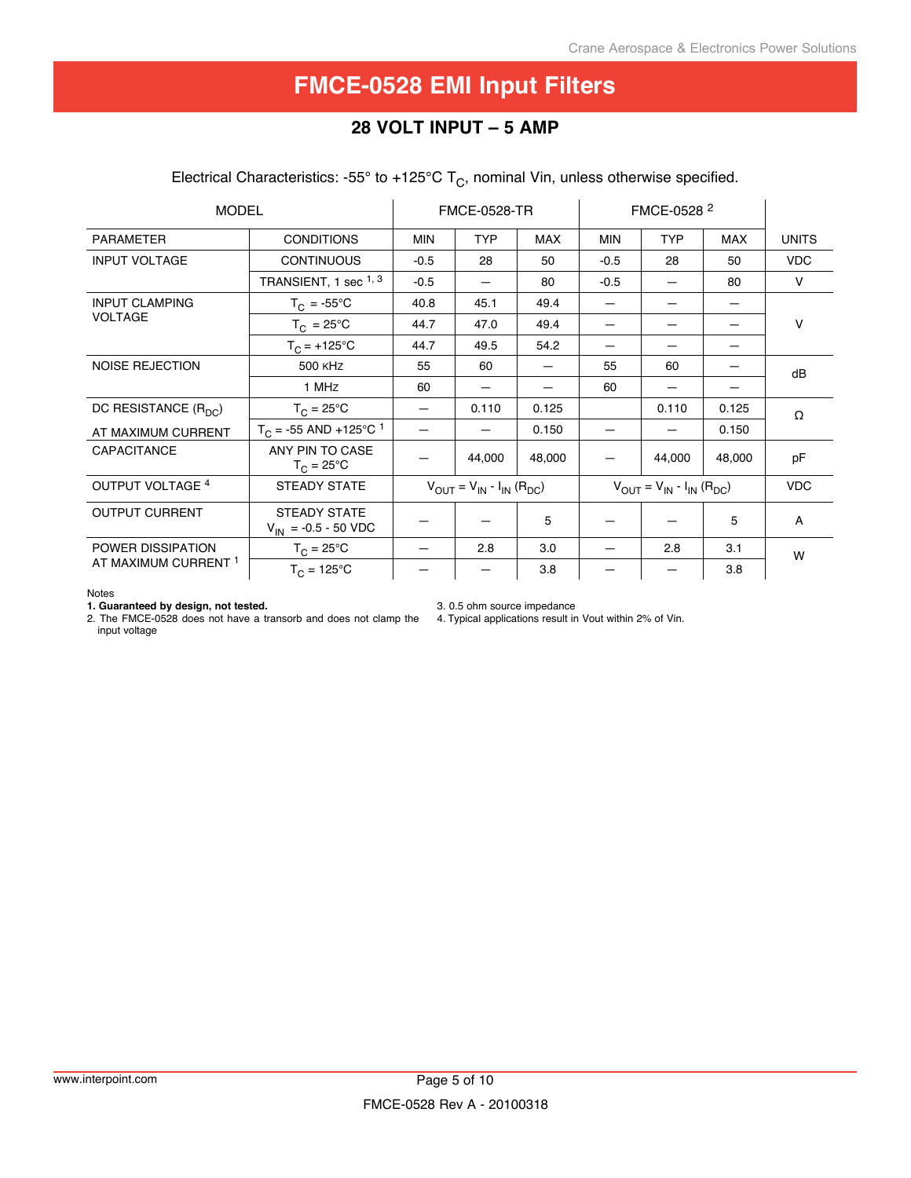## **28 Volt Input – 5 Amp**

| <b>MODEL</b>                              |                                                        | <b>FMCE-0528-TR</b>                                              |            |                                                                  | FMCE-0528 <sup>2</sup> |            |            |              |
|-------------------------------------------|--------------------------------------------------------|------------------------------------------------------------------|------------|------------------------------------------------------------------|------------------------|------------|------------|--------------|
| <b>PARAMETER</b>                          | <b>CONDITIONS</b>                                      | <b>MIN</b>                                                       | <b>TYP</b> | <b>MAX</b>                                                       | <b>MIN</b>             | <b>TYP</b> | <b>MAX</b> | <b>UNITS</b> |
| <b>INPUT VOLTAGE</b>                      | <b>CONTINUOUS</b>                                      | $-0.5$                                                           | 28         | 50                                                               | $-0.5$                 | 28         | 50         | <b>VDC</b>   |
|                                           | TRANSIENT, 1 sec 1, 3                                  | $-0.5$                                                           |            | 80                                                               | $-0.5$                 | —          | 80         | V            |
| <b>INPUT CLAMPING</b>                     | $T_C = -55^{\circ}C$                                   | 40.8                                                             | 45.1       | 49.4                                                             | —                      |            |            |              |
| <b>VOLTAGE</b>                            | $T_C = 25^{\circ}C$                                    | 44.7                                                             | 47.0       | 49.4                                                             |                        |            |            | v            |
|                                           | $T_c = +125$ °C                                        | 44.7                                                             | 49.5       | 54.2                                                             |                        |            |            |              |
| <b>NOISE REJECTION</b>                    | 500 KHZ                                                | 55                                                               | 60         |                                                                  | 55                     | 60         |            | dB           |
|                                           | 1 MHz                                                  | 60                                                               |            |                                                                  | 60                     |            |            |              |
| DC RESISTANCE $(R_{DC})$                  | $T_{C}$ = 25°C                                         |                                                                  | 0.110      | 0.125                                                            |                        | 0.110      | 0.125      | Ω            |
| AT MAXIMUM CURRENT                        | $T_C$ = -55 AND +125°C <sup>1</sup>                    |                                                                  |            | 0.150                                                            |                        |            | 0.150      |              |
| <b>CAPACITANCE</b>                        | ANY PIN TO CASE<br>$T_C = 25^{\circ}C$                 |                                                                  | 44,000     | 48,000                                                           |                        | 44,000     | 48,000     | pF           |
| OUTPUT VOLTAGE <sup>4</sup>               | <b>STEADY STATE</b>                                    | $V_{\text{OUT}} = V_{\text{IN}} - I_{\text{IN}} (R_{\text{DC}})$ |            | $V_{\text{OUT}} = V_{\text{IN}} - I_{\text{IN}} (R_{\text{DC}})$ |                        | <b>VDC</b> |            |              |
| <b>OUTPUT CURRENT</b>                     | <b>STEADY STATE</b><br>$V_{\text{IN}}$ = -0.5 - 50 VDC |                                                                  |            | 5                                                                |                        |            | 5          | A            |
| POWER DISSIPATION<br>AT MAXIMUM CURRENT 1 | $T_{C} = 25^{\circ}C$                                  |                                                                  | 2.8        | 3.0                                                              |                        | 2.8        | 3.1        | W            |
|                                           | $T_{C} = 125^{\circ}C$                                 |                                                                  |            | 3.8                                                              |                        |            | 3.8        |              |

Electrical Characteristics: -55° to +125°C  $T_c$ , nominal Vin, unless otherwise specified.

Notes

**1. Guaranteed by design, not tested.**

3. 0.5 ohm source impedance

2. The FMCE-0528 does not have a transorb and does not clamp the 4. Typical applications result in Vout within 2% of Vin.

input voltage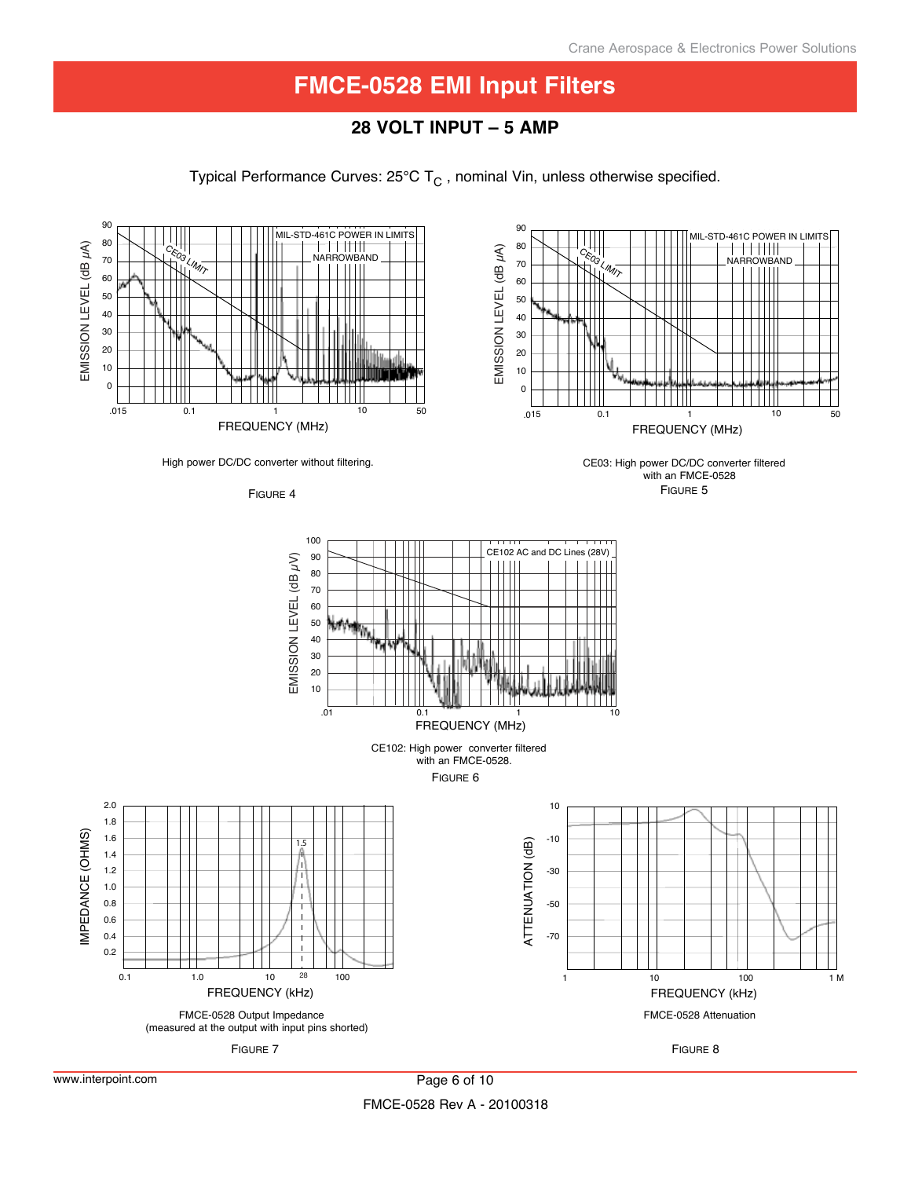## **28 Volt Input – 5 Amp**

Typical Performance Curves:  $25^{\circ}$ C T<sub>C</sub>, nominal Vin, unless otherwise specified.

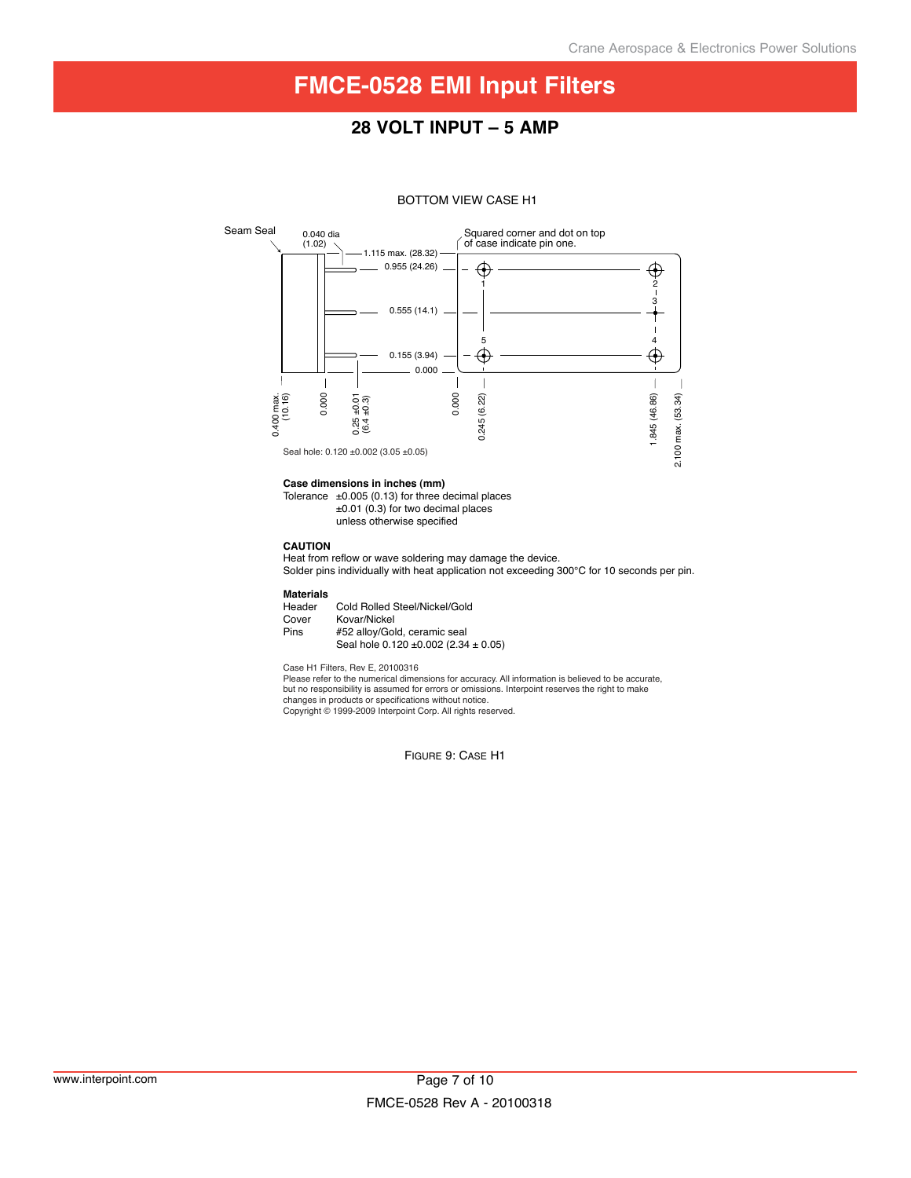### **28 Volt Input – 5 Amp**

#### BOTTOM VIEW CASE H1



#### **Case dimensions in inches (mm)**

Tolerance  $\pm 0.005$  (0.13) for three decimal places ±0.01 (0.3) for two decimal places unless otherwise specified

#### **CAUTION**

Heat from reflow or wave soldering may damage the device.

Solder pins individually with heat application not exceeding 300°C for 10 seconds per pin.

## **Materials**

Header Cold Rolled Steel/Nickel/Gold<br>Cover Kovar/Nickel Cover Kovar/Nickel<br>Pins #52 alloy/Gol #52 alloy/Gold, ceramic seal Seal hole 0.120 ±0.002 (2.34 ± 0.05)

Case H1 Filters, Rev E, 20100316

Please refer to the numerical dimensions for accuracy. All information is believed to be accurate, but no responsibility is assumed for errors or omissions. Interpoint reserves the right to make changes in products or specifications without notice. Copyright © 1999-2009 Interpoint Corp. All rights reserved.

Figure 9: Case H1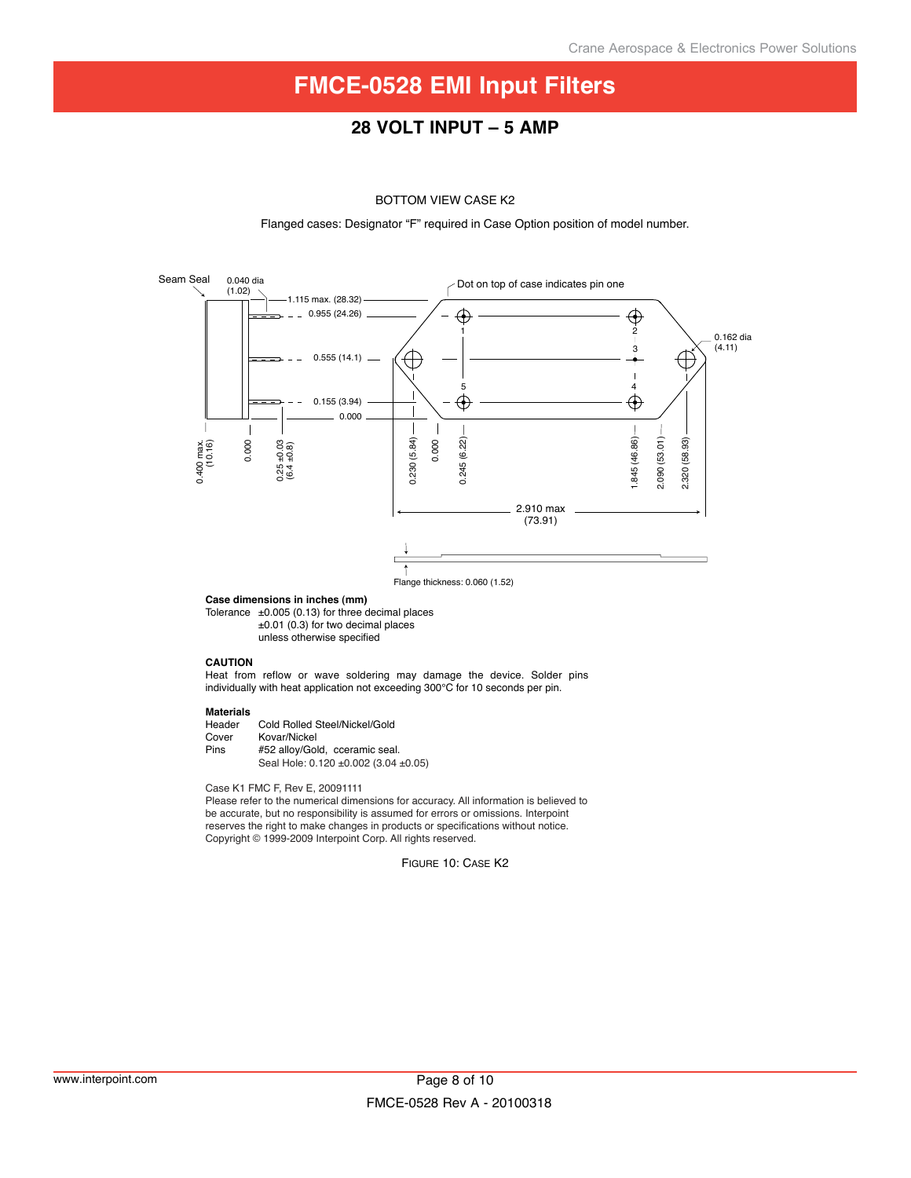### **28 Volt Input – 5 Amp**

### BOTTOM VIEW CASE K2

Flanged cases: Designator "F" required in Case Option position of model number.



**Case dimensions in inches (mm)**

Tolerance  $\pm 0.005$  (0.13) for three decimal places ±0.01 (0.3) for two decimal places unless otherwise specified

#### **CAUTION**

Heat from reflow or wave soldering may damage the device. Solder pins individually with heat application not exceeding 300°C for 10 seconds per pin.

## **Materials**

Header Cold Rolled Steel/Nickel/Gold<br>Cover Kovar/Nickel Cover Kovar/Nickel<br>Pins #52 alloy/Gol #52 alloy/Gold, cceramic seal. Seal Hole: 0.120 ±0.002 (3.04 ±0.05)

#### Case K1 FMC F, Rev E, 20091111

Please refer to the numerical dimensions for accuracy. All information is believed to be accurate, but no responsibility is assumed for errors or omissions. Interpoint reserves the right to make changes in products or specifications without notice. Copyright © 1999-2009 Interpoint Corp. All rights reserved.

Figure 10: Case K2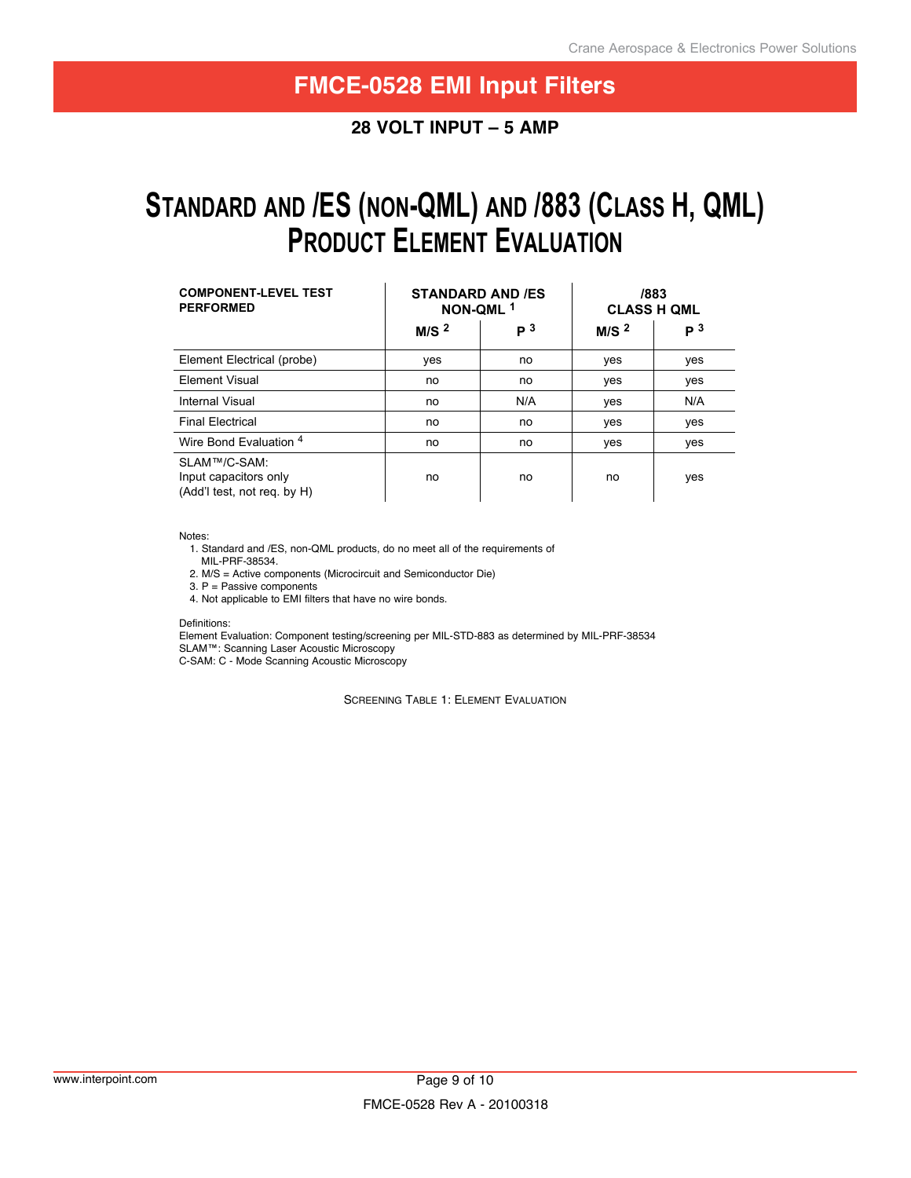### **28 Volt Input – 5 Amp**

# **STANDARD AND /ES (NON-QML) AND /883 (CLASS H, QML) PRODUCT ELEMENT EVALUATION**

| <b>COMPONENT-LEVEL TEST</b><br><b>PERFORMED</b>                      | <b>STANDARD AND /ES</b><br>NON-QML <sup>1</sup> |                | /883<br><b>CLASS H QML</b> |                |  |
|----------------------------------------------------------------------|-------------------------------------------------|----------------|----------------------------|----------------|--|
|                                                                      | M/S <sup>2</sup>                                | P <sup>3</sup> | M/S <sup>2</sup>           | P <sup>3</sup> |  |
| Element Electrical (probe)                                           | yes                                             | no             | yes                        | yes            |  |
| Element Visual                                                       | no                                              | no             | yes                        | yes            |  |
| Internal Visual                                                      | no                                              | N/A            | yes                        | N/A            |  |
| <b>Final Electrical</b>                                              | no                                              | no             | yes                        | yes            |  |
| Wire Bond Evaluation 4                                               | no                                              | no             | yes                        | yes            |  |
| SLAM™/C-SAM:<br>Input capacitors only<br>(Add'l test, not req. by H) | no                                              | no             | no                         | yes            |  |

#### Notes:

1. Standard and /ES, non-QML products, do no meet all of the requirements of

MIL-PRF-38534.

2. M/S = Active components (Microcircuit and Semiconductor Die)

3. P = Passive components

4. Not applicable to EMI filters that have no wire bonds.

Definitions:

Element Evaluation: Component testing/screening per MIL-STD-883 as determined by MIL-PRF-38534 SLAM™: Scanning Laser Acoustic Microscopy

C-SAM: C - Mode Scanning Acoustic Microscopy

SCREENING TABLE 1: ELEMENT EVALUATION